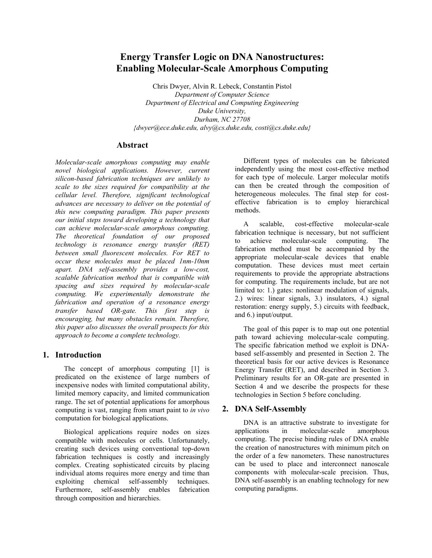# **Energy Transfer Logic on DNA Nanostructures: Enabling Molecular-Scale Amorphous Computing**

Chris Dwyer, Alvin R. Lebeck, Constantin Pistol *Department of Computer Science Department of Electrical and Computing Engineering Duke University, Durham, NC 27708 {dwyer@ece.duke.edu, alvy@cs.duke.edu, costi@cs.duke.edu}*

### **Abstract**

*Molecular-scale amorphous computing may enable novel biological applications. However, current silicon-based fabrication techniques are unlikely to scale to the sizes required for compatibility at the cellular level. Therefore, significant technological advances are necessary to deliver on the potential of this new computing paradigm. This paper presents our initial steps toward developing a technology that can achieve molecular-scale amorphous computing. The theoretical foundation of our proposed technology is resonance energy transfer (RET) between small fluorescent molecules. For RET to occur these molecules must be placed 1nm-10nm apart. DNA self-assembly provides a low-cost, scalable fabrication method that is compatible with spacing and sizes required by molecular-scale computing. We experimentally demonstrate the fabrication and operation of a resonance energy transfer based OR-gate. This first step is encouraging, but many obstacles remain. Therefore, this paper also discusses the overall prospects for this approach to become a complete technology.* 

# **1. Introduction**

The concept of amorphous computing [1] is predicated on the existence of large numbers of inexpensive nodes with limited computational ability, limited memory capacity, and limited communication range. The set of potential applications for amorphous computing is vast, ranging from smart paint to *in vivo* computation for biological applications.

Biological applications require nodes on sizes compatible with molecules or cells. Unfortunately, creating such devices using conventional top-down fabrication techniques is costly and increasingly complex. Creating sophisticated circuits by placing individual atoms requires more energy and time than exploiting chemical self-assembly techniques. Furthermore, self-assembly enables fabrication through composition and hierarchies.

Different types of molecules can be fabricated independently using the most cost-effective method for each type of molecule. Larger molecular motifs can then be created through the composition of heterogeneous molecules. The final step for costeffective fabrication is to employ hierarchical methods.

A scalable, cost-effective molecular-scale fabrication technique is necessary, but not sufficient to achieve molecular-scale computing. The fabrication method must be accompanied by the appropriate molecular-scale devices that enable computation. These devices must meet certain requirements to provide the appropriate abstractions for computing. The requirements include, but are not limited to: 1.) gates: nonlinear modulation of signals, 2.) wires: linear signals, 3.) insulators, 4.) signal restoration: energy supply, 5.) circuits with feedback, and 6.) input/output.

The goal of this paper is to map out one potential path toward achieving molecular-scale computing. The specific fabrication method we exploit is DNAbased self-assembly and presented in Section 2. The theoretical basis for our active devices is Resonance Energy Transfer (RET), and described in Section 3. Preliminary results for an OR-gate are presented in Section 4 and we describe the prospects for these technologies in Section 5 before concluding.

# **2. DNA Self-Assembly**

DNA is an attractive substrate to investigate for applications in molecular-scale amorphous computing. The precise binding rules of DNA enable the creation of nanostructures with minimum pitch on the order of a few nanometers. These nanostructures can be used to place and interconnect nanoscale components with molecular-scale precision. Thus, DNA self-assembly is an enabling technology for new computing paradigms.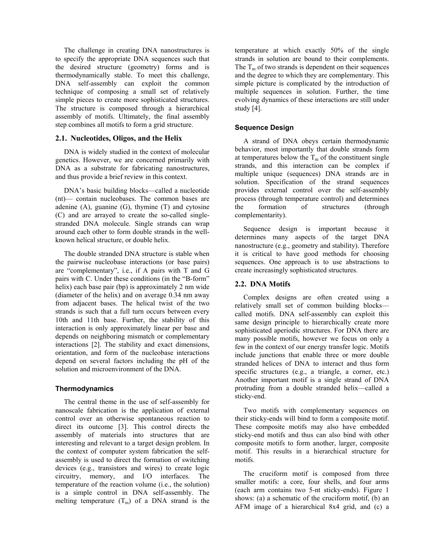The challenge in creating DNA nanostructures is to specify the appropriate DNA sequences such that the desired structure (geometry) forms and is thermodynamically stable. To meet this challenge, DNA self-assembly can exploit the common technique of composing a small set of relatively simple pieces to create more sophisticated structures. The structure is composed through a hierarchical assembly of motifs. Ultimately, the final assembly step combines all motifs to form a grid structure.

### **2.1. Nucleotides, Oligos, and the Helix**

DNA is widely studied in the context of molecular genetics. However, we are concerned primarily with DNA as a substrate for fabricating nanostructures, and thus provide a brief review in this context.

DNA's basic building blocks—called a nucleotide (nt)— contain nucleobases. The common bases are adenine  $(A)$ , guanine  $(G)$ , thymine  $(T)$  and cytosine (C) and are arrayed to create the so-called singlestranded DNA molecule. Single strands can wrap around each other to form double strands in the wellknown helical structure, or double helix.

The double stranded DNA structure is stable when the pairwise nucleobase interactions (or base pairs) are "complementary", i.e., if A pairs with T and G pairs with C. Under these conditions (in the "B-form" helix) each base pair (bp) is approximately 2 nm wide (diameter of the helix) and on average 0.34 nm away from adjacent bases. The helical twist of the two strands is such that a full turn occurs between every 10th and 11th base. Further, the stability of this interaction is only approximately linear per base and depends on neighboring mismatch or complementary interactions [2]. The stability and exact dimensions, orientation, and form of the nucleobase interactions depend on several factors including the pH of the solution and microenvironment of the DNA.

### **Thermodynamics**

The central theme in the use of self-assembly for nanoscale fabrication is the application of external control over an otherwise spontaneous reaction to direct its outcome [3]. This control directs the assembly of materials into structures that are interesting and relevant to a target design problem. In the context of computer system fabrication the selfassembly is used to direct the formation of switching devices (e.g., transistors and wires) to create logic circuitry, memory, and I/O interfaces. The temperature of the reaction volume (i.e., the solution) is a simple control in DNA self-assembly. The melting temperature  $(T_m)$  of a DNA strand is the

temperature at which exactly 50% of the single strands in solution are bound to their complements. The  $T_m$  of two strands is dependent on their sequences and the degree to which they are complementary. This simple picture is complicated by the introduction of multiple sequences in solution. Further, the time evolving dynamics of these interactions are still under study [4].

### **Sequence Design**

A strand of DNA obeys certain thermodynamic behavior, most importantly that double strands form at temperatures below the  $T_m$  of the constituent single strands, and this interaction can be complex if multiple unique (sequences) DNA strands are in solution. Specification of the strand sequences provides external control over the self-assembly process (through temperature control) and determines the formation of structures (through complementarity).

Sequence design is important because it determines many aspects of the target DNA nanostructure (e.g., geometry and stability). Therefore it is critical to have good methods for choosing sequences. One approach is to use abstractions to create increasingly sophisticated structures.

### **2.2. DNA Motifs**

Complex designs are often created using a relatively small set of common building blocks called motifs. DNA self-assembly can exploit this same design principle to hierarchically create more sophisticated aperiodic structures. For DNA there are many possible motifs, however we focus on only a few in the context of our energy transfer logic. Motifs include junctions that enable three or more double stranded helices of DNA to interact and thus form specific structures (e.g., a triangle, a corner, etc.) Another important motif is a single strand of DNA protruding from a double stranded helix—called a sticky-end.

Two motifs with complementary sequences on their sticky-ends will bind to form a composite motif. These composite motifs may also have embedded sticky-end motifs and thus can also bind with other composite motifs to form another, larger, composite motif. This results in a hierarchical structure for motifs.

The cruciform motif is composed from three smaller motifs: a core, four shells, and four arms (each arm contains two 5-nt sticky-ends). Figure 1 shows: (a) a schematic of the cruciform motif, (b) an AFM image of a hierarchical 8x4 grid, and (c) a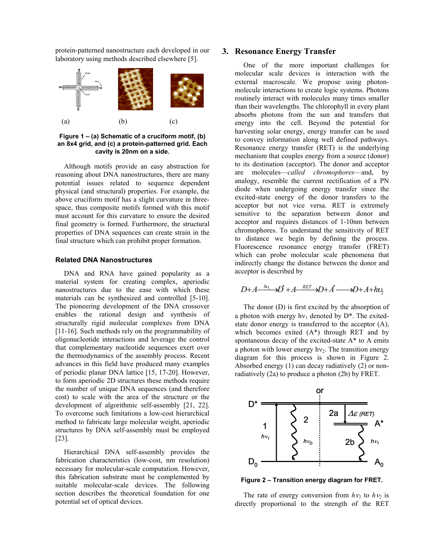protein-patterned nanostructure each developed in our laboratory using methods described elsewhere [5].



**Figure 1 – (a) Schematic of a cruciform motif, (b) an 8x4 grid, and (c) a protein-patterned grid. Each cavity is 20nm on a side.** 

Although motifs provide an easy abstraction for reasoning about DNA nanostructures, there are many potential issues related to sequence dependent physical (and structural) properties. For example, the above cruciform motif has a slight curvature in threespace, thus composite motifs formed with this motif must account for this curvature to ensure the desired final geometry is formed. Furthermore, the structural properties of DNA sequences can create strain in the final structure which can prohibit proper formation.

#### **Related DNA Nanostructures**

DNA and RNA have gained popularity as a material system for creating complex, aperiodic nanostructures due to the ease with which these materials can be synthesized and controlled [5-10]. The pioneering development of the DNA crossover enables the rational design and synthesis of structurally rigid molecular complexes from DNA [11-16]. Such methods rely on the programmability of oligonucleotide interactions and leverage the control that complementary nucleotide sequences exert over the thermodynamics of the assembly process. Recent advances in this field have produced many examples of periodic planar DNA lattice [15, 17-20]. However, to form aperiodic 2D structures these methods require the number of unique DNA sequences (and therefore cost) to scale with the area of the structure or the development of algorithmic self-assembly [21, 22]. To overcome such limitations a low-cost hierarchical method to fabricate large molecular weight, aperiodic structures by DNA self-assembly must be employed [23].

Hierarchical DNA self-assembly provides the fabrication characteristics (low-cost, nm resolution) necessary for molecular-scale computation. However, this fabrication substrate must be complemented by suitable molecular-scale devices. The following section describes the theoretical foundation for one potential set of optical devices.

### **3. Resonance Energy Transfer**

One of the more important challenges for molecular scale devices is interaction with the external macroscale. We propose using photonmolecule interactions to create logic systems. Photons routinely interact with molecules many times smaller than their wavelengths. The chlorophyll in every plant absorbs photons from the sun and transfers that energy into the cell. Beyond the potential for harvesting solar energy, energy transfer can be used to convey information along well defined pathways. Resonance energy transfer (RET) is the underlying mechanism that couples energy from a source (donor) to its destination (acceptor). The donor and acceptor are molecules—*called chromophores*—and, by analogy, resemble the current rectification of a PN diode when undergoing energy transfer since the excited-state energy of the donor transfers to the acceptor but not vice versa. RET is extremely sensitive to the separation between donor and acceptor and requires distances of 1-10nm between chromophores. To understand the sensitivity of RET to distance we begin by defining the process. Fluorescence resonance energy transfer (FRET) which can probe molecular scale phenomena that indirectly change the distance between the donor and acceptor is described by

$$
D+A \xrightarrow{hu_1} D^* + A \xrightarrow{RET} D+A \xrightarrow{+} D+A + h\nu_2
$$

The donor (D) is first excited by the absorption of a photon with energy  $hv_1$  denoted by  $D^*$ . The exitedstate donor energy is transferred to the acceptor (A), which becomes exited  $(A^*)$  through RET and by spontaneous decay of the excited-state A\* to A emits a photon with lower energy  $hv_2$ . The transition energy diagram for this process is shown in Figure 2. Absorbed energy (1) can decay radiatively (2) or nonradiatively (2a) to produce a photon (2b) by FRET.



**Figure 2 – Transition energy diagram for FRET.** 

The rate of energy conversion from  $h\nu_1$  to  $h\nu_2$  is directly proportional to the strength of the RET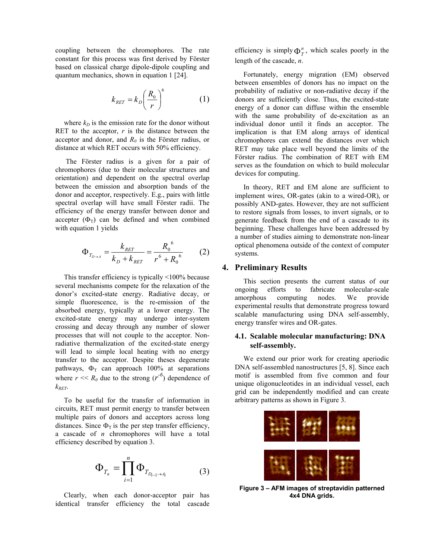coupling between the chromophores. The rate constant for this process was first derived by Förster based on classical charge dipole-dipole coupling and quantum mechanics, shown in equation 1 [24].

$$
k_{\text{RET}} = k_D \left(\frac{R_0}{r}\right)^6 \tag{1}
$$

where  $k_D$  is the emission rate for the donor without RET to the acceptor,  $r$  is the distance between the acceptor and donor, and  $R_0$  is the Förster radius, or distance at which RET occurs with 50% efficiency.

 The Förster radius is a given for a pair of chromophores (due to their molecular structures and orientation) and dependent on the spectral overlap between the emission and absorption bands of the donor and acceptor, respectively. E.g., pairs with little spectral overlap will have small Förster radii. The efficiency of the energy transfer between donor and accepter  $(\Phi_T)$  can be defined and when combined with equation 1 yields

$$
\Phi_{T_{D\to A}} = \frac{k_{RET}}{k_D + k_{RET}} = \frac{R_0^6}{r^6 + R_0^6} \tag{2}
$$

This transfer efficiency is typically <100% because several mechanisms compete for the relaxation of the donor's excited-state energy. Radiative decay, or simple fluorescence, is the re-emission of the absorbed energy, typically at a lower energy. The excited-state energy may undergo inter-system crossing and decay through any number of slower processes that will not couple to the acceptor. Nonradiative thermalization of the excited-state energy will lead to simple local heating with no energy transfer to the acceptor. Despite theses degenerate pathways,  $\Phi_T$  can approach 100% at separations where  $r \ll R_0$  due to the strong  $(r^{-6})$  dependence of  $k_{RET}$ .

To be useful for the transfer of information in circuits, RET must permit energy to transfer between multiple pairs of donors and acceptors across long distances. Since  $\Phi_T$  is the per step transfer efficiency, a cascade of *n* chromophores will have a total efficiency described by equation 3.

$$
\Phi_{T_n} = \prod_{i=1}^n \Phi_{T_{D_{i-1} \to A_i}}
$$
 (3)

Clearly, when each donor-acceptor pair has identical transfer efficiency the total cascade efficiency is simply  $\Phi_T^n$ , which scales poorly in the length of the cascade, *n*.

Fortunately, energy migration (EM) observed between ensembles of donors has no impact on the probability of radiative or non-radiative decay if the donors are sufficiently close. Thus, the excited-state energy of a donor can diffuse within the ensemble with the same probability of de-excitation as an individual donor until it finds an acceptor. The implication is that EM along arrays of identical chromophores can extend the distances over which RET may take place well beyond the limits of the Förster radius. The combination of RET with EM serves as the foundation on which to build molecular devices for computing.

In theory, RET and EM alone are sufficient to implement wires, OR-gates (akin to a wired-OR), or possibly AND-gates. However, they are not sufficient to restore signals from losses, to invert signals, or to generate feedback from the end of a cascade to its beginning. These challenges have been addressed by a number of studies aiming to demonstrate non-linear optical phenomena outside of the context of computer systems.

### **4. Preliminary Results**

This section presents the current status of our ongoing efforts to fabricate molecular-scale amorphous computing nodes. We provide experimental results that demonstrate progress toward scalable manufacturing using DNA self-assembly, energy transfer wires and OR-gates.

### **4.1. Scalable molecular manufacturing: DNA self-assembly.**

We extend our prior work for creating aperiodic DNA self-assembled nanostructures [5, 8]. Since each motif is assembled from five common and four unique oligonucleotides in an individual vessel, each grid can be independently modified and can create arbitrary patterns as shown in Figure 3.



**Figure 3 – AFM images of streptavidin patterned 4x4 DNA grids.**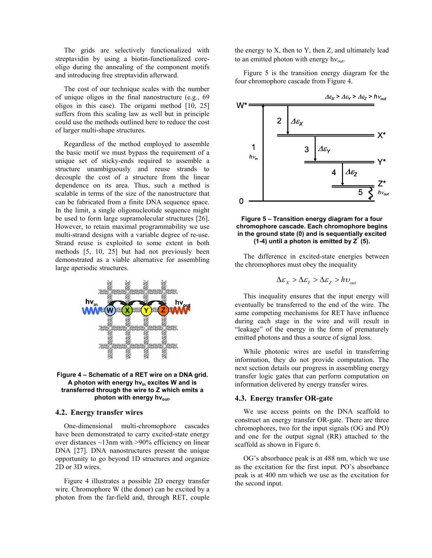The grids are selectively functionalized with streptavidin by using a biotin-functionalized coreoligo during the annealing of the component motifs and introducing free streptavidin afterward.

The cost of our technique scales with the number of unique oligos in the final nanostructure (e.g., 69 oligos in this case). The origami method [10, 25] suffers from this scaling law as well but in principle could use the methods outlined here to reduce the cost of larger multi-shape structures.

Regardless of the method employed to assemble the basic motif we must bypass the requirement of a unique set of sticky-ends required to assemble a structure unambiguously and reuse strands to decouple the cost of a structure from the linear dependence on its area. Thus, such a method is scalable in terms of the size of the nanostructure that can be fabricated from a finite DNA sequence space. In the limit, a single oligonucleotide sequence might be used to form large supramolecular structures [26]. However, to retain maximal programmability we use multi-strand designs with a variable degree of re-use. Strand reuse is exploited to some extent in both methods [5, 10, 25] but had not previously been demonstrated as a viable alternative for assembling large aperiodic structures.





#### **4.2. Energy transfer wires**

One-dimensional multi-chromophore cascades have been demonstrated to carry excited-state energy over distances  $\sim$ 13nm with  $>$ 90% efficiency on linear DNA [27]. DNA nanostructures present the unique opportunity to go beyond 1D structures and organize 2D or 3D wires.

Figure 4 illustrates a possible 2D energy transfer wire. Chromophore W (the donor) can be excited by a photon from the far-field and, through RET, couple

the energy to X, then to Y, then Z, and ultimately lead to an emitted photon with energy  $h v_{\text{out}}$ .

Figure 5 is the transition energy diagram for the four chromophore cascade from Figure 4.



**Figure 5 – Transition energy diagram for a four chromophore cascade. Each chromophore begins in the ground state (0) and is sequentially excited (1-4) until a photon is emitted by Z\* (5).**

The difference in excited-state energies between the chromophores must obey the inequality

$$
\Delta \varepsilon_{X} > \Delta \varepsilon_{Y} > \Delta \varepsilon_{Z} > h \upsilon_{out}
$$

This inequality ensures that the input energy will eventually be transferred to the end of the wire. The same competing mechanisms for RET have influence during each stage in the wire and will result in "leakage" of the energy in the form of prematurely emitted photons and thus a source of signal loss.

While photonic wires are useful in transferring information, they do not provide computation. The next section details our progress in assembling energy transfer logic gates that can perform computation on information delivered by energy transfer wires.

#### **4.3. Energy transfer OR-gate**

We use access points on the DNA scaffold to construct an energy transfer OR-gate. There are three chromophores, two for the input signals (OG and PO) and one for the output signal (RR) attached to the scaffold as shown in Figure 6.

OG's absorbance peak is at 488 nm, which we use as the excitation for the first input. PO's absorbance peak is at 400 nm which we use as the excitation for the second input.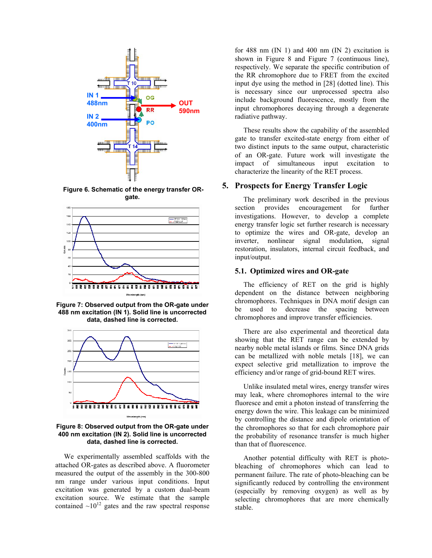

 **Figure 6. Schematic of the energy transfer ORgate.** 



**Figure 7: Observed output from the OR-gate under 488 nm excitation (IN 1). Solid line is uncorrected data, dashed line is corrected.** 



**Figure 8: Observed output from the OR-gate under 400 nm excitation (IN 2). Solid line is uncorrected data, dashed line is corrected.** 

We experimentally assembled scaffolds with the attached OR-gates as described above. A fluorometer measured the output of the assembly in the 300-800 nm range under various input conditions. Input excitation was generated by a custom dual-beam excitation source. We estimate that the sample contained  $\sim 10^{12}$  gates and the raw spectral response

for 488 nm  $(IN 1)$  and 400 nm  $(IN 2)$  excitation is shown in Figure 8 and Figure 7 (continuous line), respectively. We separate the specific contribution of the RR chromophore due to FRET from the excited input dye using the method in [28] (dotted line). This is necessary since our unprocessed spectra also include background fluorescence, mostly from the input chromophores decaying through a degenerate radiative pathway.

These results show the capability of the assembled gate to transfer excited-state energy from either of two distinct inputs to the same output, characteristic of an OR-gate. Future work will investigate the impact of simultaneous input excitation to characterize the linearity of the RET process.

### **5. Prospects for Energy Transfer Logic**

The preliminary work described in the previous section provides encouragement for further investigations. However, to develop a complete energy transfer logic set further research is necessary to optimize the wires and OR-gate, develop an inverter, nonlinear signal modulation, signal restoration, insulators, internal circuit feedback, and input/output.

### **5.1. Optimized wires and OR-gate**

The efficiency of RET on the grid is highly dependent on the distance between neighboring chromophores. Techniques in DNA motif design can be used to decrease the spacing between chromophores and improve transfer efficiencies.

There are also experimental and theoretical data showing that the RET range can be extended by nearby noble metal islands or films. Since DNA grids can be metallized with noble metals [18], we can expect selective grid metallization to improve the efficiency and/or range of grid-bound RET wires.

Unlike insulated metal wires, energy transfer wires may leak, where chromophores internal to the wire fluoresce and emit a photon instead of transferring the energy down the wire. This leakage can be minimized by controlling the distance and dipole orientation of the chromophores so that for each chromophore pair the probability of resonance transfer is much higher than that of fluorescence.

Another potential difficulty with RET is photobleaching of chromophores which can lead to permanent failure. The rate of photo-bleaching can be significantly reduced by controlling the environment (especially by removing oxygen) as well as by selecting chromophores that are more chemically stable.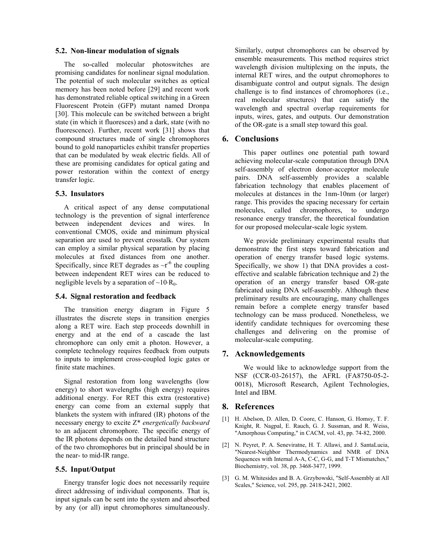### **5.2. Non-linear modulation of signals**

The so-called molecular photoswitches are promising candidates for nonlinear signal modulation. The potential of such molecular switches as optical memory has been noted before [29] and recent work has demonstrated reliable optical switching in a Green Fluorescent Protein (GFP) mutant named Dronpa [30]. This molecule can be switched between a bright state (in which it fluoresces) and a dark, state (with no fluorescence). Further, recent work [31] shows that compound structures made of single chromophores bound to gold nanoparticles exhibit transfer properties that can be modulated by weak electric fields. All of these are promising candidates for optical gating and power restoration within the context of energy transfer logic.

### **5.3. Insulators**

A critical aspect of any dense computational technology is the prevention of signal interference between independent devices and wires. In conventional CMOS, oxide and minimum physical separation are used to prevent crosstalk. Our system can employ a similar physical separation by placing molecules at fixed distances from one another. Specifically, since RET degrades as  $\sim r^{-6}$  the coupling between independent RET wires can be reduced to negligible levels by a separation of  $\sim$ 10⋅R<sub>0</sub>.

### **5.4. Signal restoration and feedback**

The transition energy diagram in Figure 5 illustrates the discrete steps in transition energies along a RET wire. Each step proceeds downhill in energy and at the end of a cascade the last chromophore can only emit a photon. However, a complete technology requires feedback from outputs to inputs to implement cross-coupled logic gates or finite state machines.

Signal restoration from long wavelengths (low energy) to short wavelengths (high energy) requires additional energy. For RET this extra (restorative) energy can come from an external supply that blankets the system with infrared (IR) photons of the necessary energy to excite Z\* *energetically backward* to an adjacent chromophore. The specific energy of the IR photons depends on the detailed band structure of the two chromophores but in principal should be in the near- to mid-IR range.

### **5.5. Input/Output**

Energy transfer logic does not necessarily require direct addressing of individual components. That is, input signals can be sent into the system and absorbed by any (or all) input chromophores simultaneously.

Similarly, output chromophores can be observed by ensemble measurements. This method requires strict wavelength division multiplexing on the inputs, the internal RET wires, and the output chromophores to disambiguate control and output signals. The design challenge is to find instances of chromophores (i.e., real molecular structures) that can satisfy the wavelength and spectral overlap requirements for inputs, wires, gates, and outputs. Our demonstration of the OR-gate is a small step toward this goal.

### **6. Conclusions**

This paper outlines one potential path toward achieving molecular-scale computation through DNA self-assembly of electron donor-acceptor molecule pairs. DNA self-assembly provides a scalable fabrication technology that enables placement of molecules at distances in the 1nm-10nm (or larger) range. This provides the spacing necessary for certain molecules, called chromophores, to undergo resonance energy transfer, the theoretical foundation for our proposed molecular-scale logic system.

We provide preliminary experimental results that demonstrate the first steps toward fabrication and operation of energy transfer based logic systems. Specifically, we show 1) that DNA provides a costeffective and scalable fabrication technique and 2) the operation of an energy transfer based OR-gate fabricated using DNA self-assembly. Although these preliminary results are encouraging, many challenges remain before a complete energy transfer based technology can be mass produced. Nonetheless, we identify candidate techniques for overcoming these challenges and delivering on the promise of molecular-scale computing.

### **7. Acknowledgements**

We would like to acknowledge support from the NSF (CCR-03-26157), the AFRL (FA8750-05-2- 0018), Microsoft Research, Agilent Technologies, Intel and IBM.

## **8. References**

- [1] H. Abelson, D. Allen, D. Coore, C. Hanson, G. Homsy, T. F. Knight, R. Nagpal, E. Rauch, G. J. Sussman, and R. Weiss, "Amorphous Computing," in CACM, vol. 43, pp. 74-82, 2000.
- [2] N. Peyret, P. A. Seneviratne, H. T. Allawi, and J. SantaLucia, "Nearest-Neighbor Thermodynamics and NMR of DNA Sequences with Internal A-A, C-C, G-G, and T-T Mismatches," Biochemistry, vol. 38, pp. 3468-3477, 1999.
- [3] G. M. Whitesides and B. A. Grzybowski, "Self-Assembly at All Scales," Science, vol. 295, pp. 2418-2421, 2002.